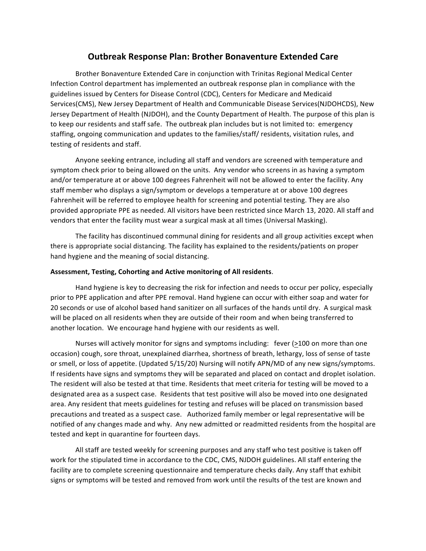# **Outbreak Response Plan: Brother Bonaventure Extended Care**

Brother Bonaventure Extended Care in conjunction with Trinitas Regional Medical Center Infection Control department has implemented an outbreak response plan in compliance with the guidelines issued by Centers for Disease Control (CDC), Centers for Medicare and Medicaid Services(CMS), New Jersey Department of Health and Communicable Disease Services(NJDOHCDS), New Jersey Department of Health (NJDOH), and the County Department of Health. The purpose of this plan is to keep our residents and staff safe. The outbreak plan includes but is not limited to: emergency staffing, ongoing communication and updates to the families/staff/ residents, visitation rules, and testing of residents and staff.

Anyone seeking entrance, including all staff and vendors are screened with temperature and symptom check prior to being allowed on the units. Any vendor who screens in as having a symptom and/or temperature at or above 100 degrees Fahrenheit will not be allowed to enter the facility. Any staff member who displays a sign/symptom or develops a temperature at or above 100 degrees Fahrenheit will be referred to employee health for screening and potential testing. They are also provided appropriate PPE as needed. All visitors have been restricted since March 13, 2020. All staff and vendors that enter the facility must wear a surgical mask at all times (Universal Masking).

The facility has discontinued communal dining for residents and all group activities except when there is appropriate social distancing. The facility has explained to the residents/patients on proper hand hygiene and the meaning of social distancing.

#### Assessment, Testing, Cohorting and Active monitoring of All residents.

Hand hygiene is key to decreasing the risk for infection and needs to occur per policy, especially prior to PPE application and after PPE removal. Hand hygiene can occur with either soap and water for 20 seconds or use of alcohol based hand sanitizer on all surfaces of the hands until dry. A surgical mask will be placed on all residents when they are outside of their room and when being transferred to another location. We encourage hand hygiene with our residents as well.

Nurses will actively monitor for signs and symptoms including: fever (>100 on more than one occasion) cough, sore throat, unexplained diarrhea, shortness of breath, lethargy, loss of sense of taste or smell, or loss of appetite. (Updated 5/15/20) Nursing will notify APN/MD of any new signs/symptoms. If residents have signs and symptoms they will be separated and placed on contact and droplet isolation. The resident will also be tested at that time. Residents that meet criteria for testing will be moved to a designated area as a suspect case. Residents that test positive will also be moved into one designated area. Any resident that meets guidelines for testing and refuses will be placed on transmission based precautions and treated as a suspect case. Authorized family member or legal representative will be notified of any changes made and why. Any new admitted or readmitted residents from the hospital are tested and kept in quarantine for fourteen days.

All staff are tested weekly for screening purposes and any staff who test positive is taken off work for the stipulated time in accordance to the CDC, CMS, NJDOH guidelines. All staff entering the facility are to complete screening questionnaire and temperature checks daily. Any staff that exhibit signs or symptoms will be tested and removed from work until the results of the test are known and